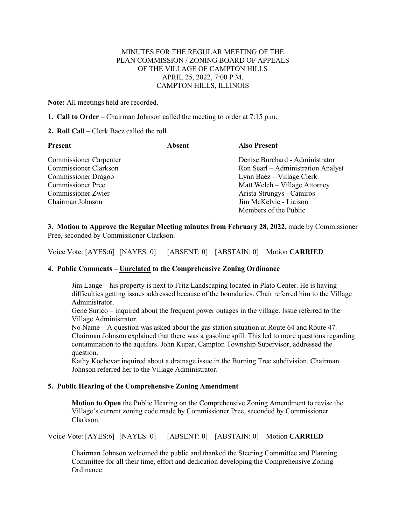## MINUTES FOR THE REGULAR MEETING OF THE PLAN COMMISSION / ZONING BOARD OF APPEALS OF THE VILLAGE OF CAMPTON HILLS APRIL 25, 2022, 7:00 P.M. CAMPTON HILLS, ILLINOIS

**Note:** All meetings held are recorded.

**1. Call to Order** – Chairman Johnson called the meeting to order at 7:15 p.m.

## **2. Roll Call –** Clerk Baez called the roll

| Present                       | <b>Absent</b> | <b>Also Present</b>                |
|-------------------------------|---------------|------------------------------------|
| <b>Commissioner Carpenter</b> |               | Denise Burchard - Administrator    |
| Commissioner Clarkson         |               | Ron Searl – Administration Analyst |
| <b>Commissioner Dragoo</b>    |               | Lynn Baez – Village Clerk          |
| <b>Commissioner Pree</b>      |               | Matt Welch – Village Attorney      |
| <b>Commissioner Zwier</b>     |               | Arista Strungys - Camiros          |
| Chairman Johnson              |               | Jim McKelvie - Liaison             |
|                               |               | Members of the Public              |

**3. Motion to Approve the Regular Meeting minutes from February 28, 2022,** made by Commissioner Pree, seconded by Commissioner Clarkson.

Voice Vote: [AYES:6] [NAYES: 0] [ABSENT: 0] [ABSTAIN: 0] Motion **CARRIED**

## **4. Public Comments – Unrelated to the Comprehensive Zoning Ordinance**

Jim Lange – his property is next to Fritz Landscaping located in Plato Center. He is having difficulties getting issues addressed because of the boundaries. Chair referred him to the Village Administrator.

Gene Surico – inquired about the frequent power outages in the village. Issue referred to the Village Administrator.

No Name – A question was asked about the gas station situation at Route 64 and Route 47. Chairman Johnson explained that there was a gasoline spill. This led to more questions regarding contamination to the aquifers. John Kupar, Campton Township Supervisor, addressed the question.

Kathy Kochevar inquired about a drainage issue in the Burning Tree subdivision. Chairman Johnson referred her to the Village Administrator.

## **5. Public Hearing of the Comprehensive Zoning Amendment**

**Motion to Open** the Public Hearing on the Comprehensive Zoning Amendment to revise the Village's current zoning code made by Commissioner Pree, seconded by Commissioner Clarkson.

Voice Vote: [AYES:6] [NAYES: 0] [ABSENT: 0] [ABSTAIN: 0] Motion **CARRIED**

Chairman Johnson welcomed the public and thanked the Steering Committee and Planning Committee for all their time, effort and dedication developing the Comprehensive Zoning Ordinance.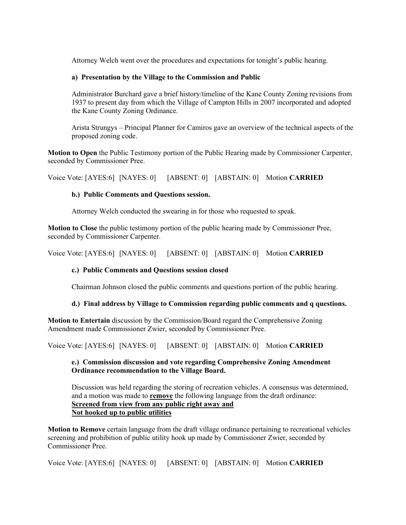Attorney Welch went over the procedures and expectations for tonight's public hearing.

## **a) Presentation by the Village to the Commission and Public**

Administrator Burchard gave a brief history/timeline of the Kane County Zoning revisions from 1937 to present day from which the Village of Campton Hills in 2007 incorporated and adopted the Kane County Zoning Ordinance.

Arista Strungys – Principal Planner for Camiros gave an overview of the technical aspects of the proposed zoning code.

**Motion to Open** the Public Testimony portion of the Public Hearing made by Commissioner Carpenter, seconded by Commissioner Pree.

Voice Vote: [AYES:6] [NAYES: 0] [ABSENT: 0] [ABSTAIN: 0] Motion **CARRIED**

## **b.) Public Comments and Questions session.**

Attorney Welch conducted the swearing in for those who requested to speak.

**Motion to Close** the public testimony portion of the public hearing made by Commissioner Pree, seconded by Commissioner Carpenter.

Voice Vote: [AYES:6] [NAYES: 0] [ABSENT: 0] [ABSTAIN: 0] Motion **CARRIED**

# **c.) Public Comments and Questions session closed**

Chairman Johnson closed the public comments and questions portion of the public hearing.

## **d.) Final address by Village to Commission regarding public comments and q questions.**

**Motion to Entertain** discussion by the Commission/Board regard the Comprehensive Zoning Amendment made Commissioner Zwier, seconded by Commissioner Pree.

Voice Vote: [AYES:6] [NAYES: 0] [ABSENT: 0] [ABSTAIN: 0] Motion **CARRIED**

## **e.) Commission discussion and vote regarding Comprehensive Zoning Amendment Ordinance recommendation to the Village Board.**

Discussion was held regarding the storing of recreation vehicles. A consensus was determined, and a motion was made to **remove** the following language from the draft ordinance: **Screened from view from any public right away and Not hooked up to public utilities**

**Motion to Remove** certain language from the draft village ordinance pertaining to recreational vehicles screening and prohibition of public utility hook up made by Commissioner Zwier, seconded by Commissioner Pree.

Voice Vote: [AYES:6] [NAYES: 0] [ABSENT: 0] [ABSTAIN: 0] Motion **CARRIED**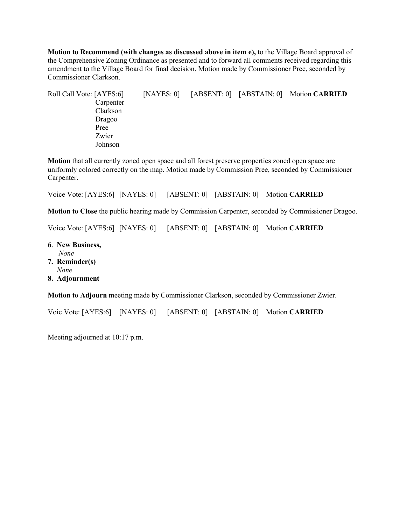**Motion to Recommend (with changes as discussed above in item e),** to the Village Board approval of the Comprehensive Zoning Ordinance as presented and to forward all comments received regarding this amendment to the Village Board for final decision. Motion made by Commissioner Pree, seconded by Commissioner Clarkson.

Roll Call Vote: [AYES:6] [NAYES: 0] [ABSENT: 0] [ABSTAIN: 0] Motion **CARRIED** Carpenter Clarkson Dragoo Pree Zwier Johnson

**Motion** that all currently zoned open space and all forest preserve properties zoned open space are uniformly colored correctly on the map. Motion made by Commission Pree, seconded by Commissioner Carpenter.

Voice Vote: [AYES:6] [NAYES: 0] [ABSENT: 0] [ABSTAIN: 0] Motion **CARRIED**

**Motion to Close** the public hearing made by Commission Carpenter, seconded by Commissioner Dragoo.

Voice Vote: [AYES:6] [NAYES: 0] [ABSENT: 0] [ABSTAIN: 0] Motion **CARRIED**

- **6**. **New Business,** *None*
- **7. Reminder(s)** *None*
- **8. Adjournment**

**Motion to Adjourn** meeting made by Commissioner Clarkson, seconded by Commissioner Zwier.

Voic Vote: [AYES:6] [NAYES: 0] [ABSENT: 0] [ABSTAIN: 0] Motion **CARRIED**

Meeting adjourned at 10:17 p.m.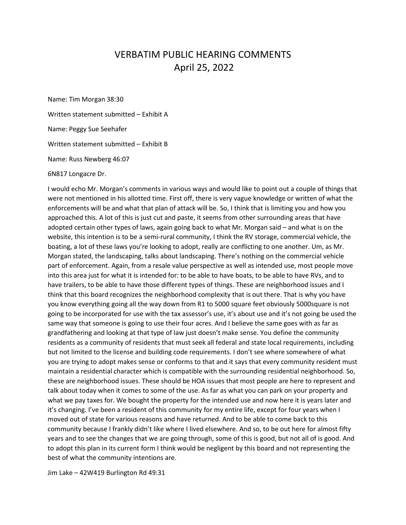# VERBATIM PUBLIC HEARING COMMENTS April 25, 2022

Name: Tim Morgan 38:30 Written statement submitted – Exhibit A Name: Peggy Sue Seehafer Written statement submitted – Exhibit B Name: Russ Newberg 46:07

6N817 Longacre Dr.

I would echo Mr. Morgan's comments in various ways and would like to point out a couple of things that were not mentioned in his allotted time. First off, there is very vague knowledge or written of what the enforcements will be and what that plan of attack will be. So, I think that is limiting you and how you approached this. A lot of this is just cut and paste, it seems from other surrounding areas that have adopted certain other types of laws, again going back to what Mr. Morgan said – and what is on the website, this intention is to be a semi-rural community, I think the RV storage, commercial vehicle, the boating, a lot of these laws you're looking to adopt, really are conflicting to one another. Um, as Mr. Morgan stated, the landscaping, talks about landscaping. There's nothing on the commercial vehicle part of enforcement. Again, from a resale value perspective as well as intended use, most people move into this area just for what it is intended for: to be able to have boats, to be able to have RVs, and to have trailers, to be able to have those different types of things. These are neighborhood issues and I think that this board recognizes the neighborhood complexity that is out there. That is why you have you know everything going all the way down from R1 to 5000 square feet obviously 5000square is not going to be incorporated for use with the tax assessor's use, it's about use and it's not going be used the same way that someone is going to use their four acres. And I believe the same goes with as far as grandfathering and looking at that type of law just doesn't make sense. You define the community residents as a community of residents that must seek all federal and state local requirements, including but not limited to the license and building code requirements. I don't see where somewhere of what you are trying to adopt makes sense or conforms to that and it says that every community resident must maintain a residential character which is compatible with the surrounding residential neighborhood. So, these are neighborhood issues. These should be HOA issues that most people are here to represent and talk about today when it comes to some of the use. As far as what you can park on your property and what we pay taxes for. We bought the property for the intended use and now here it is years later and it's changing. I've been a resident of this community for my entire life, except for four years when I moved out of state for various reasons and have returned. And to be able to come back to this community because I frankly didn't like where I lived elsewhere. And so, to be out here for almost fifty years and to see the changes that we are going through, some of this is good, but not all of is good. And to adopt this plan in its current form I think would be negligent by this board and not representing the best of what the community intentions are.

Jim Lake – 42W419 Burlington Rd 49:31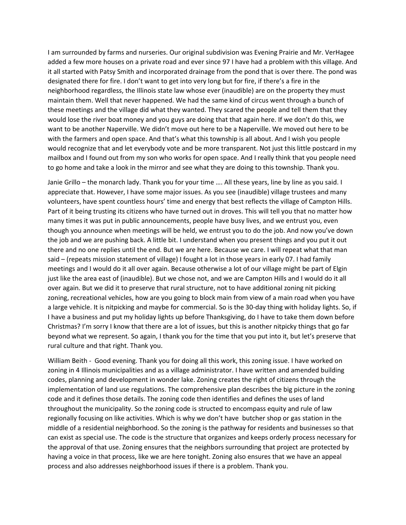I am surrounded by farms and nurseries. Our original subdivision was Evening Prairie and Mr. VerHagee added a few more houses on a private road and ever since 97 I have had a problem with this village. And it all started with Patsy Smith and incorporated drainage from the pond that is over there. The pond was designated there for fire. I don't want to get into very long but for fire, if there's a fire in the neighborhood regardless, the Illinois state law whose ever (inaudible) are on the property they must maintain them. Well that never happened. We had the same kind of circus went through a bunch of these meetings and the village did what they wanted. They scared the people and tell them that they would lose the river boat money and you guys are doing that that again here. If we don't do this, we want to be another Naperville. We didn't move out here to be a Naperville. We moved out here to be with the farmers and open space. And that's what this township is all about. And I wish you people would recognize that and let everybody vote and be more transparent. Not just this little postcard in my mailbox and I found out from my son who works for open space. And I really think that you people need to go home and take a look in the mirror and see what they are doing to this township. Thank you.

Janie Grillo – the monarch lady. Thank you for your time …. All these years, line by line as you said. I appreciate that. However, I have some major issues. As you see (inaudible) village trustees and many volunteers, have spent countless hours' time and energy that best reflects the village of Campton Hills. Part of it being trusting its citizens who have turned out in droves. This will tell you that no matter how many times it was put in public announcements, people have busy lives, and we entrust you, even though you announce when meetings will be held, we entrust you to do the job. And now you've down the job and we are pushing back. A little bit. I understand when you present things and you put it out there and no one replies until the end. But we are here. Because we care. I will repeat what that man said – (repeats mission statement of village) I fought a lot in those years in early 07. I had family meetings and I would do it all over again. Because otherwise a lot of our village might be part of Elgin just like the area east of (inaudible). But we chose not, and we are Campton Hills and I would do it all over again. But we did it to preserve that rural structure, not to have additional zoning nit picking zoning, recreational vehicles, how are you going to block main from view of a main road when you have a large vehicle. It is nitpicking and maybe for commercial. So is the 30-day thing with holiday lights. So, if I have a business and put my holiday lights up before Thanksgiving, do I have to take them down before Christmas? I'm sorry I know that there are a lot of issues, but this is another nitpicky things that go far beyond what we represent. So again, I thank you for the time that you put into it, but let's preserve that rural culture and that right. Thank you.

William Beith - Good evening. Thank you for doing all this work, this zoning issue. I have worked on zoning in 4 Illinois municipalities and as a village administrator. I have written and amended building codes, planning and development in wonder lake. Zoning creates the right of citizens through the implementation of land use regulations. The comprehensive plan describes the big picture in the zoning code and it defines those details. The zoning code then identifies and defines the uses of land throughout the municipality. So the zoning code is structed to encompass equity and rule of law regionally focusing on like activities. Which is why we don't have butcher shop or gas station in the middle of a residential neighborhood. So the zoning is the pathway for residents and businesses so that can exist as special use. The code is the structure that organizes and keeps orderly process necessary for the approval of that use. Zoning ensures that the neighbors surrounding that project are protected by having a voice in that process, like we are here tonight. Zoning also ensures that we have an appeal process and also addresses neighborhood issues if there is a problem. Thank you.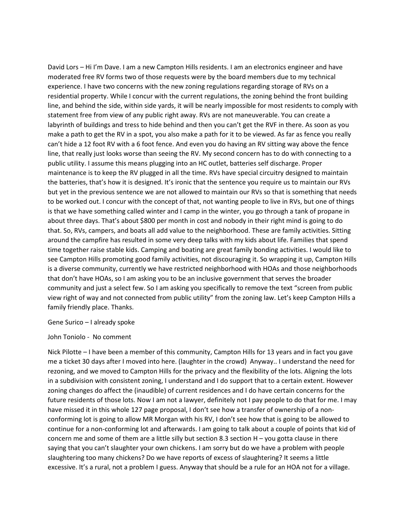David Lors – Hi I'm Dave. I am a new Campton Hills residents. I am an electronics engineer and have moderated free RV forms two of those requests were by the board members due to my technical experience. I have two concerns with the new zoning regulations regarding storage of RVs on a residential property. While I concur with the current regulations, the zoning behind the front building line, and behind the side, within side yards, it will be nearly impossible for most residents to comply with statement free from view of any public right away. RVs are not maneuverable. You can create a labyrinth of buildings and tress to hide behind and then you can't get the RVF in there. As soon as you make a path to get the RV in a spot, you also make a path for it to be viewed. As far as fence you really can't hide a 12 foot RV with a 6 foot fence. And even you do having an RV sitting way above the fence line, that really just looks worse than seeing the RV. My second concern has to do with connecting to a public utility. I assume this means plugging into an HC outlet, batteries self discharge. Proper maintenance is to keep the RV plugged in all the time. RVs have special circuitry designed to maintain the batteries, that's how it is designed. It's ironic that the sentence you require us to maintain our RVs but yet in the previous sentence we are not allowed to maintain our RVs so that is something that needs to be worked out. I concur with the concept of that, not wanting people to live in RVs, but one of things is that we have something called winter and I camp in the winter, you go through a tank of propane in about three days. That's about \$800 per month in cost and nobody in their right mind is going to do that. So, RVs, campers, and boats all add value to the neighborhood. These are family activities. Sitting around the campfire has resulted in some very deep talks with my kids about life. Families that spend time together raise stable kids. Camping and boating are great family bonding activities. I would like to see Campton Hills promoting good family activities, not discouraging it. So wrapping it up, Campton Hills is a diverse community, currently we have restricted neighborhood with HOAs and those neighborhoods that don't have HOAs, so I am asking you to be an inclusive government that serves the broader community and just a select few. So I am asking you specifically to remove the text "screen from public view right of way and not connected from public utility" from the zoning law. Let's keep Campton Hills a family friendly place. Thanks.

Gene Surico – I already spoke

John Toniolo - No comment

Nick Pilotte – I have been a member of this community, Campton Hills for 13 years and in fact you gave me a ticket 30 days after I moved into here. (laughter in the crowd) Anyway.. I understand the need for rezoning, and we moved to Campton Hills for the privacy and the flexibility of the lots. Aligning the lots in a subdivision with consistent zoning, I understand and I do support that to a certain extent. However zoning changes do affect the (inaudible) of current residences and I do have certain concerns for the future residents of those lots. Now I am not a lawyer, definitely not I pay people to do that for me. I may have missed it in this whole 127 page proposal, I don't see how a transfer of ownership of a nonconforming lot is going to allow MR Morgan with his RV, I don't see how that is going to be allowed to continue for a non-conforming lot and afterwards. I am going to talk about a couple of points that kid of concern me and some of them are a little silly but section 8.3 section  $H -$  you gotta clause in there saying that you can't slaughter your own chickens. I am sorry but do we have a problem with people slaughtering too many chickens? Do we have reports of excess of slaughtering? It seems a little excessive. It's a rural, not a problem I guess. Anyway that should be a rule for an HOA not for a village.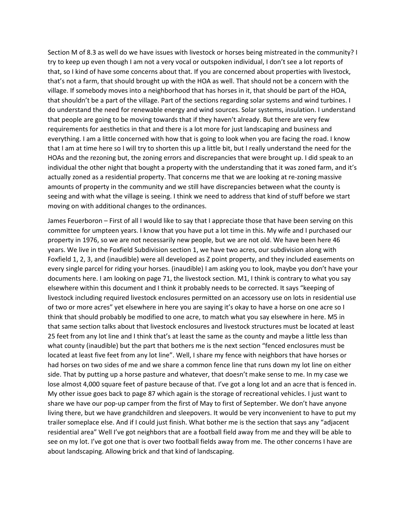Section M of 8.3 as well do we have issues with livestock or horses being mistreated in the community? I try to keep up even though I am not a very vocal or outspoken individual, I don't see a lot reports of that, so I kind of have some concerns about that. If you are concerned about properties with livestock, that's not a farm, that should brought up with the HOA as well. That should not be a concern with the village. If somebody moves into a neighborhood that has horses in it, that should be part of the HOA, that shouldn't be a part of the village. Part of the sections regarding solar systems and wind turbines. I do understand the need for renewable energy and wind sources. Solar systems, insulation. I understand that people are going to be moving towards that if they haven't already. But there are very few requirements for aesthetics in that and there is a lot more for just landscaping and business and everything. I am a little concerned with how that is going to look when you are facing the road. I know that I am at time here so I will try to shorten this up a little bit, but I really understand the need for the HOAs and the rezoning but, the zoning errors and discrepancies that were brought up. I did speak to an individual the other night that bought a property with the understanding that it was zoned farm, and it's actually zoned as a residential property. That concerns me that we are looking at re-zoning massive amounts of property in the community and we still have discrepancies between what the county is seeing and with what the village is seeing. I think we need to address that kind of stuff before we start moving on with additional changes to the ordinances.

James Feuerboron – First of all I would like to say that I appreciate those that have been serving on this committee for umpteen years. I know that you have put a lot time in this. My wife and I purchased our property in 1976, so we are not necessarily new people, but we are not old. We have been here 46 years. We live in the Foxfield Subdivision section 1, we have two acres, our subdivision along with Foxfield 1, 2, 3, and (inaudible) were all developed as Z point property, and they included easements on every single parcel for riding your horses. (inaudible) I am asking you to look, maybe you don't have your documents here. I am looking on page 71, the livestock section. M1, I think is contrary to what you say elsewhere within this document and I think it probably needs to be corrected. It says "keeping of livestock including required livestock enclosures permitted on an accessory use on lots in residential use of two or more acres" yet elsewhere in here you are saying it's okay to have a horse on one acre so I think that should probably be modified to one acre, to match what you say elsewhere in here. M5 in that same section talks about that livestock enclosures and livestock structures must be located at least 25 feet from any lot line and I think that's at least the same as the county and maybe a little less than what county (inaudible) but the part that bothers me is the next section "fenced enclosures must be located at least five feet from any lot line". Well, I share my fence with neighbors that have horses or had horses on two sides of me and we share a common fence line that runs down my lot line on either side. That by putting up a horse pasture and whatever, that doesn't make sense to me. In my case we lose almost 4,000 square feet of pasture because of that. I've got a long lot and an acre that is fenced in. My other issue goes back to page 87 which again is the storage of recreational vehicles. I just want to share we have our pop-up camper from the first of May to first of September. We don't have anyone living there, but we have grandchildren and sleepovers. It would be very inconvenient to have to put my trailer someplace else. And if I could just finish. What bother me is the section that says any "adjacent residential area" Well I've got neighbors that are a football field away from me and they will be able to see on my lot. I've got one that is over two football fields away from me. The other concerns I have are about landscaping. Allowing brick and that kind of landscaping.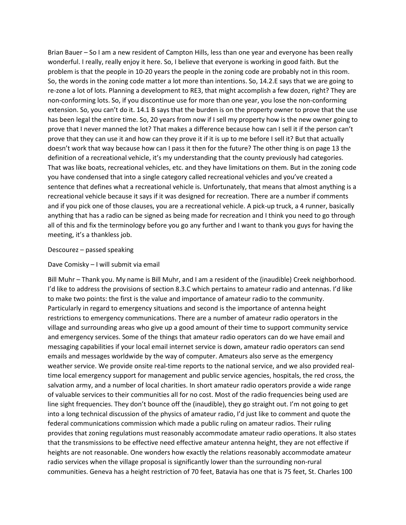Brian Bauer – So I am a new resident of Campton Hills, less than one year and everyone has been really wonderful. I really, really enjoy it here. So, I believe that everyone is working in good faith. But the problem is that the people in 10-20 years the people in the zoning code are probably not in this room. So, the words in the zoning code matter a lot more than intentions. So, 14.2.E says that we are going to re-zone a lot of lots. Planning a development to RE3, that might accomplish a few dozen, right? They are non-conforming lots. So, if you discontinue use for more than one year, you lose the non-conforming extension. So, you can't do it. 14.1 B says that the burden is on the property owner to prove that the use has been legal the entire time. So, 20 years from now if I sell my property how is the new owner going to prove that I never manned the lot? That makes a difference because how can I sell it if the person can't prove that they can use it and how can they prove it if it is up to me before I sell it? But that actually doesn't work that way because how can I pass it then for the future? The other thing is on page 13 the definition of a recreational vehicle, it's my understanding that the county previously had categories. That was like boats, recreational vehicles, etc. and they have limitations on them. But in the zoning code you have condensed that into a single category called recreational vehicles and you've created a sentence that defines what a recreational vehicle is. Unfortunately, that means that almost anything is a recreational vehicle because it says if it was designed for recreation. There are a number if comments and if you pick one of those clauses, you are a recreational vehicle. A pick-up truck, a 4 runner, basically anything that has a radio can be signed as being made for recreation and I think you need to go through all of this and fix the terminology before you go any further and I want to thank you guys for having the meeting, it's a thankless job.

### Descourez – passed speaking

### Dave Comisky – I will submit via email

Bill Muhr – Thank you. My name is Bill Muhr, and I am a resident of the (inaudible) Creek neighborhood. I'd like to address the provisions of section 8.3.C which pertains to amateur radio and antennas. I'd like to make two points: the first is the value and importance of amateur radio to the community. Particularly in regard to emergency situations and second is the importance of antenna height restrictions to emergency communications. There are a number of amateur radio operators in the village and surrounding areas who give up a good amount of their time to support community service and emergency services. Some of the things that amateur radio operators can do we have email and messaging capabilities if your local email internet service is down, amateur radio operators can send emails and messages worldwide by the way of computer. Amateurs also serve as the emergency weather service. We provide onsite real-time reports to the national service, and we also provided realtime local emergency support for management and public service agencies, hospitals, the red cross, the salvation army, and a number of local charities. In short amateur radio operators provide a wide range of valuable services to their communities all for no cost. Most of the radio frequencies being used are line sight frequencies. They don't bounce off the (inaudible), they go straight out. I'm not going to get into a long technical discussion of the physics of amateur radio, I'd just like to comment and quote the federal communications commission which made a public ruling on amateur radios. Their ruling provides that zoning regulations must reasonably accommodate amateur radio operations. It also states that the transmissions to be effective need effective amateur antenna height, they are not effective if heights are not reasonable. One wonders how exactly the relations reasonably accommodate amateur radio services when the village proposal is significantly lower than the surrounding non-rural communities. Geneva has a height restriction of 70 feet, Batavia has one that is 75 feet, St. Charles 100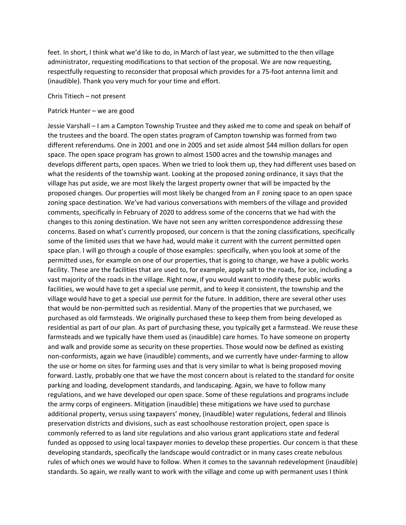feet. In short, I think what we'd like to do, in March of last year, we submitted to the then village administrator, requesting modifications to that section of the proposal. We are now requesting, respectfully requesting to reconsider that proposal which provides for a 75-foot antenna limit and (inaudible). Thank you very much for your time and effort.

Chris Titiech – not present

### Patrick Hunter – we are good

Jessie Varshall – I am a Campton Township Trustee and they asked me to come and speak on behalf of the trustees and the board. The open states program of Campton township was formed from two different referendums. One in 2001 and one in 2005 and set aside almost \$44 million dollars for open space. The open space program has grown to almost 1500 acres and the township manages and develops different parts, open spaces. When we tried to look them up, they had different uses based on what the residents of the township want. Looking at the proposed zoning ordinance, it says that the village has put aside, we are most likely the largest property owner that will be impacted by the proposed changes. Our properties will most likely be changed from an F zoning space to an open space zoning space destination. We've had various conversations with members of the village and provided comments, specifically in February of 2020 to address some of the concerns that we had with the changes to this zoning destination. We have not seen any written correspondence addressing these concerns. Based on what's currently proposed, our concern is that the zoning classifications, specifically some of the limited uses that we have had, would make it current with the current permitted open space plan. I will go through a couple of those examples: specifically, when you look at some of the permitted uses, for example on one of our properties, that is going to change, we have a public works facility. These are the facilities that are used to, for example, apply salt to the roads, for ice, including a vast majority of the roads in the village. Right now, if you would want to modify these public works facilities, we would have to get a special use permit, and to keep it consistent, the township and the village would have to get a special use permit for the future. In addition, there are several other uses that would be non-permitted such as residential. Many of the properties that we purchased, we purchased as old farmsteads. We originally purchased these to keep them from being developed as residential as part of our plan. As part of purchasing these, you typically get a farmstead. We reuse these farmsteads and we typically have them used as (inaudible) care homes. To have someone on property and walk and provide some as security on these properties. Those would now be defined as existing non-conformists, again we have (inaudible) comments, and we currently have under-farming to allow the use or home on sites for farming uses and that is very similar to what is being proposed moving forward. Lastly, probably one that we have the most concern about is related to the standard for onsite parking and loading, development standards, and landscaping. Again, we have to follow many regulations, and we have developed our open space. Some of these regulations and programs include the army corps of engineers. Mitigation (inaudible) these mitigations we have used to purchase additional property, versus using taxpayers' money, (inaudible) water regulations, federal and Illinois preservation districts and divisions, such as east schoolhouse restoration project, open space is commonly referred to as land site regulations and also various grant applications state and federal funded as opposed to using local taxpayer monies to develop these properties. Our concern is that these developing standards, specifically the landscape would contradict or in many cases create nebulous rules of which ones we would have to follow. When it comes to the savannah redevelopment (inaudible) standards. So again, we really want to work with the village and come up with permanent uses I think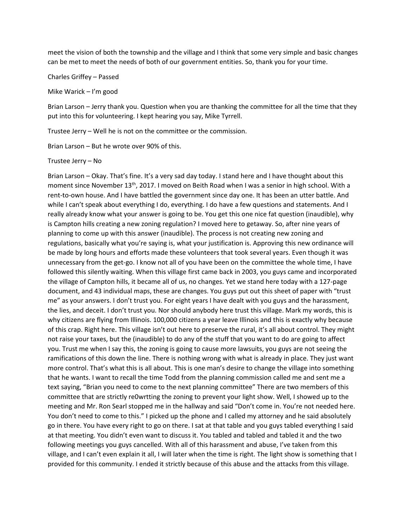meet the vision of both the township and the village and I think that some very simple and basic changes can be met to meet the needs of both of our government entities. So, thank you for your time.

Charles Griffey – Passed

Mike Warick – I'm good

Brian Larson – Jerry thank you. Question when you are thanking the committee for all the time that they put into this for volunteering. I kept hearing you say, Mike Tyrrell.

Trustee Jerry – Well he is not on the committee or the commission.

Brian Larson – But he wrote over 90% of this.

Trustee Jerry – No

Brian Larson – Okay. That's fine. It's a very sad day today. I stand here and I have thought about this moment since November 13<sup>th</sup>, 2017. I moved on Beith Road when I was a senior in high school. With a rent-to-own house. And I have battled the government since day one. It has been an utter battle. And while I can't speak about everything I do, everything. I do have a few questions and statements. And I really already know what your answer is going to be. You get this one nice fat question (inaudible), why is Campton hills creating a new zoning regulation? I moved here to getaway. So, after nine years of planning to come up with this answer (inaudible). The process is not creating new zoning and regulations, basically what you're saying is, what your justification is. Approving this new ordinance will be made by long hours and efforts made these volunteers that took several years. Even though it was unnecessary from the get-go. I know not all of you have been on the committee the whole time, I have followed this silently waiting. When this village first came back in 2003, you guys came and incorporated the village of Campton hills, it became all of us, no changes. Yet we stand here today with a 127-page document, and 43 individual maps, these are changes. You guys put out this sheet of paper with "trust me" as your answers. I don't trust you. For eight years I have dealt with you guys and the harassment, the lies, and deceit. I don't trust you. Nor should anybody here trust this village. Mark my words, this is why citizens are flying from Illinois. 100,000 citizens a year leave Illinois and this is exactly why because of this crap. Right here. This village isn't out here to preserve the rural, it's all about control. They might not raise your taxes, but the (inaudible) to do any of the stuff that you want to do are going to affect you. Trust me when I say this, the zoning is going to cause more lawsuits, you guys are not seeing the ramifications of this down the line. There is nothing wrong with what is already in place. They just want more control. That's what this is all about. This is one man's desire to change the village into something that he wants. I want to recall the time Todd from the planning commission called me and sent me a text saying, "Brian you need to come to the next planning committee" There are two members of this committee that are strictly re0wrtting the zoning to prevent your light show. Well, I showed up to the meeting and Mr. Ron Searl stopped me in the hallway and said "Don't come in. You're not needed here. You don't need to come to this." I picked up the phone and I called my attorney and he said absolutely go in there. You have every right to go on there. I sat at that table and you guys tabled everything I said at that meeting. You didn't even want to discuss it. You tabled and tabled and tabled it and the two following meetings you guys cancelled. With all of this harassment and abuse, I've taken from this village, and I can't even explain it all, I will later when the time is right. The light show is something that I provided for this community. I ended it strictly because of this abuse and the attacks from this village.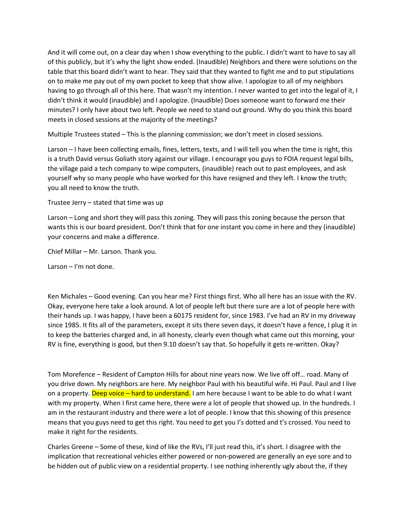And it will come out, on a clear day when I show everything to the public. I didn't want to have to say all of this publicly, but it's why the light show ended. (Inaudible) Neighbors and there were solutions on the table that this board didn't want to hear. They said that they wanted to fight me and to put stipulations on to make me pay out of my own pocket to keep that show alive. I apologize to all of my neighbors having to go through all of this here. That wasn't my intention. I never wanted to get into the legal of it, I didn't think it would (inaudible) and I apologize. (Inaudible) Does someone want to forward me their minutes? I only have about two left. People we need to stand out ground. Why do you think this board meets in closed sessions at the majority of the meetings?

Multiple Trustees stated – This is the planning commission; we don't meet in closed sessions.

Larson – I have been collecting emails, fines, letters, texts, and I will tell you when the time is right, this is a truth David versus Goliath story against our village. I encourage you guys to FOIA request legal bills, the village paid a tech company to wipe computers, (inaudible) reach out to past employees, and ask yourself why so many people who have worked for this have resigned and they left. I know the truth; you all need to know the truth.

Trustee Jerry – stated that time was up

Larson – Long and short they will pass this zoning. They will pass this zoning because the person that wants this is our board president. Don't think that for one instant you come in here and they (inaudible) your concerns and make a difference.

Chief Millar – Mr. Larson. Thank you.

Larson – I'm not done.

Ken Michales – Good evening. Can you hear me? First things first. Who all here has an issue with the RV. Okay, everyone here take a look around. A lot of people left but there sure are a lot of people here with their hands up. I was happy, I have been a 60175 resident for, since 1983. I've had an RV in my driveway since 1985. It fits all of the parameters, except it sits there seven days, it doesn't have a fence, I plug it in to keep the batteries charged and, in all honesty, clearly even though what came out this morning, your RV is fine, everything is good, but then 9.10 doesn't say that. So hopefully it gets re-written. Okay?

Tom Morefence – Resident of Campton Hills for about nine years now. We live off off… road. Many of you drive down. My neighbors are here. My neighbor Paul with his beautiful wife. Hi Paul. Paul and I live on a property. Deep voice – hard to understand. I am here because I want to be able to do what I want with my property. When I first came here, there were a lot of people that showed up. In the hundreds. I am in the restaurant industry and there were a lot of people. I know that this showing of this presence means that you guys need to get this right. You need to get you I's dotted and t's crossed. You need to make it right for the residents.

Charles Greene – Some of these, kind of like the RVs, I'll just read this, it's short. I disagree with the implication that recreational vehicles either powered or non-powered are generally an eye sore and to be hidden out of public view on a residential property. I see nothing inherently ugly about the, if they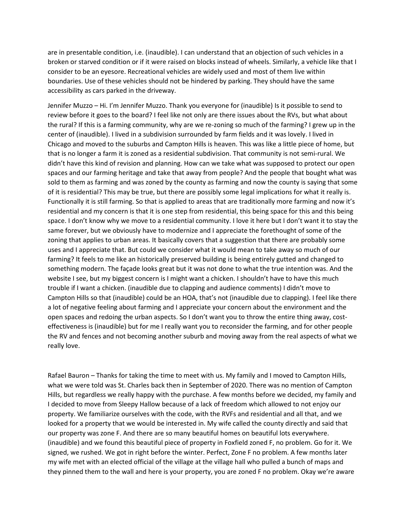are in presentable condition, i.e. (inaudible). I can understand that an objection of such vehicles in a broken or starved condition or if it were raised on blocks instead of wheels. Similarly, a vehicle like that I consider to be an eyesore. Recreational vehicles are widely used and most of them live within boundaries. Use of these vehicles should not be hindered by parking. They should have the same accessibility as cars parked in the driveway.

Jennifer Muzzo – Hi. I'm Jennifer Muzzo. Thank you everyone for (inaudible) Is it possible to send to review before it goes to the board? I feel like not only are there issues about the RVs, but what about the rural? If this is a farming community, why are we re-zoning so much of the farming? I grew up in the center of (inaudible). I lived in a subdivision surrounded by farm fields and it was lovely. I lived in Chicago and moved to the suburbs and Campton Hills is heaven. This was like a little piece of home, but that is no longer a farm it is zoned as a residential subdivision. That community is not semi-rural. We didn't have this kind of revision and planning. How can we take what was supposed to protect our open spaces and our farming heritage and take that away from people? And the people that bought what was sold to them as farming and was zoned by the county as farming and now the county is saying that some of it is residential? This may be true, but there are possibly some legal implications for what it really is. Functionally it is still farming. So that is applied to areas that are traditionally more farming and now it's residential and my concern is that it is one step from residential, this being space for this and this being space. I don't know why we move to a residential community. I love it here but I don't want it to stay the same forever, but we obviously have to modernize and I appreciate the forethought of some of the zoning that applies to urban areas. It basically covers that a suggestion that there are probably some uses and I appreciate that. But could we consider what it would mean to take away so much of our farming? It feels to me like an historically preserved building is being entirely gutted and changed to something modern. The façade looks great but it was not done to what the true intention was. And the website I see, but my biggest concern is I might want a chicken. I shouldn't have to have this much trouble if I want a chicken. (inaudible due to clapping and audience comments) I didn't move to Campton Hills so that (inaudible) could be an HOA, that's not (inaudible due to clapping). I feel like there a lot of negative feeling about farming and I appreciate your concern about the environment and the open spaces and redoing the urban aspects. So I don't want you to throw the entire thing away, costeffectiveness is (inaudible) but for me I really want you to reconsider the farming, and for other people the RV and fences and not becoming another suburb and moving away from the real aspects of what we really love.

Rafael Bauron – Thanks for taking the time to meet with us. My family and I moved to Campton Hills, what we were told was St. Charles back then in September of 2020. There was no mention of Campton Hills, but regardless we really happy with the purchase. A few months before we decided, my family and I decided to move from Sleepy Hallow because of a lack of freedom which allowed to not enjoy our property. We familiarize ourselves with the code, with the RVFs and residential and all that, and we looked for a property that we would be interested in. My wife called the county directly and said that our property was zone F. And there are so many beautiful homes on beautiful lots everywhere. (inaudible) and we found this beautiful piece of property in Foxfield zoned F, no problem. Go for it. We signed, we rushed. We got in right before the winter. Perfect, Zone F no problem. A few months later my wife met with an elected official of the village at the village hall who pulled a bunch of maps and they pinned them to the wall and here is your property, you are zoned F no problem. Okay we're aware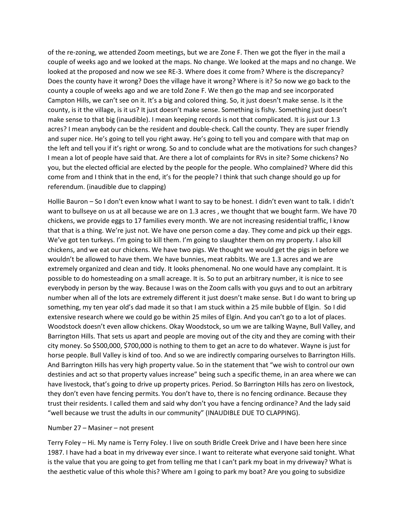of the re-zoning, we attended Zoom meetings, but we are Zone F. Then we got the flyer in the mail a couple of weeks ago and we looked at the maps. No change. We looked at the maps and no change. We looked at the proposed and now we see RE-3. Where does it come from? Where is the discrepancy? Does the county have it wrong? Does the village have it wrong? Where is it? So now we go back to the county a couple of weeks ago and we are told Zone F. We then go the map and see incorporated Campton Hills, we can't see on it. It's a big and colored thing. So, it just doesn't make sense. Is it the county, is it the village, is it us? It just doesn't make sense. Something is fishy. Something just doesn't make sense to that big (inaudible). I mean keeping records is not that complicated. It is just our 1.3 acres? I mean anybody can be the resident and double-check. Call the county. They are super friendly and super nice. He's going to tell you right away. He's going to tell you and compare with that map on the left and tell you if it's right or wrong. So and to conclude what are the motivations for such changes? I mean a lot of people have said that. Are there a lot of complaints for RVs in site? Some chickens? No you, but the elected official are elected by the people for the people. Who complained? Where did this come from and I think that in the end, it's for the people? I think that such change should go up for referendum. (inaudible due to clapping)

Hollie Bauron – So I don't even know what I want to say to be honest. I didn't even want to talk. I didn't want to bullseye on us at all because we are on 1.3 acres , we thought that we bought farm. We have 70 chickens, we provide eggs to 17 families every month. We are not increasing residential traffic, I know that that is a thing. We're just not. We have one person come a day. They come and pick up their eggs. We've got ten turkeys. I'm going to kill them. I'm going to slaughter them on my property. I also kill chickens, and we eat our chickens. We have two pigs. We thought we would get the pigs in before we wouldn't be allowed to have them. We have bunnies, meat rabbits. We are 1.3 acres and we are extremely organized and clean and tidy. It looks phenomenal. No one would have any complaint. It is possible to do homesteading on a small acreage. It is. So to put an arbitrary number, it is nice to see everybody in person by the way. Because I was on the Zoom calls with you guys and to out an arbitrary number when all of the lots are extremely different it just doesn't make sense. But I do want to bring up something, my ten year old's dad made it so that I am stuck within a 25 mile bubble of Elgin. So I did extensive research where we could go be within 25 miles of Elgin. And you can't go to a lot of places. Woodstock doesn't even allow chickens. Okay Woodstock, so um we are talking Wayne, Bull Valley, and Barrington Hills. That sets us apart and people are moving out of the city and they are coming with their city money. So \$500,000, \$700,000 is nothing to them to get an acre to do whatever. Wayne is just for horse people. Bull Valley is kind of too. And so we are indirectly comparing ourselves to Barrington Hills. And Barrington Hills has very high property value. So in the statement that "we wish to control our own destinies and act so that property values increase" being such a specific theme, in an area where we can have livestock, that's going to drive up property prices. Period. So Barrington Hills has zero on livestock, they don't even have fencing permits. You don't have to, there is no fencing ordinance. Because they trust their residents. I called them and said why don't you have a fencing ordinance? And the lady said "well because we trust the adults in our community" (INAUDIBLE DUE TO CLAPPING).

## Number 27 – Masiner – not present

Terry Foley – Hi. My name is Terry Foley. I live on south Bridle Creek Drive and I have been here since 1987. I have had a boat in my driveway ever since. I want to reiterate what everyone said tonight. What is the value that you are going to get from telling me that I can't park my boat in my driveway? What is the aesthetic value of this whole this? Where am I going to park my boat? Are you going to subsidize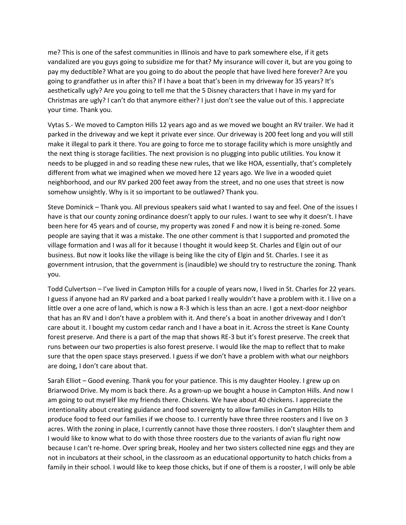me? This is one of the safest communities in Illinois and have to park somewhere else, if it gets vandalized are you guys going to subsidize me for that? My insurance will cover it, but are you going to pay my deductible? What are you going to do about the people that have lived here forever? Are you going to grandfather us in after this? If I have a boat that's been in my driveway for 35 years? It's aesthetically ugly? Are you going to tell me that the 5 Disney characters that I have in my yard for Christmas are ugly? I can't do that anymore either? I just don't see the value out of this. I appreciate your time. Thank you.

Vytas S.- We moved to Campton Hills 12 years ago and as we moved we bought an RV trailer. We had it parked in the driveway and we kept it private ever since. Our driveway is 200 feet long and you will still make it illegal to park it there. You are going to force me to storage facility which is more unsightly and the next thing is storage facilities. The next provision is no plugging into public utilities. You know it needs to be plugged in and so reading these new rules, that we like HOA, essentially, that's completely different from what we imagined when we moved here 12 years ago. We live in a wooded quiet neighborhood, and our RV parked 200 feet away from the street, and no one uses that street is now somehow unsightly. Why is it so important to be outlawed? Thank you.

Steve Dominick – Thank you. All previous speakers said what I wanted to say and feel. One of the issues I have is that our county zoning ordinance doesn't apply to our rules. I want to see why it doesn't. I have been here for 45 years and of course, my property was zoned F and now it is being re-zoned. Some people are saying that it was a mistake. The one other comment is that I supported and promoted the village formation and I was all for it because I thought it would keep St. Charles and Elgin out of our business. But now it looks like the village is being like the city of Elgin and St. Charles. I see it as government intrusion, that the government is (inaudible) we should try to restructure the zoning. Thank you.

Todd Culvertson – I've lived in Campton Hills for a couple of years now, I lived in St. Charles for 22 years. I guess if anyone had an RV parked and a boat parked I really wouldn't have a problem with it. I live on a little over a one acre of land, which is now a R-3 which is less than an acre. I got a next-door neighbor that has an RV and I don't have a problem with it. And there's a boat in another driveway and I don't care about it. I bought my custom cedar ranch and I have a boat in it. Across the street is Kane County forest preserve. And there is a part of the map that shows RE-3 but it's forest preserve. The creek that runs between our two properties is also forest preserve. I would like the map to reflect that to make sure that the open space stays preserved. I guess if we don't have a problem with what our neighbors are doing, I don't care about that.

Sarah Elliot – Good evening. Thank you for your patience. This is my daughter Hooley. I grew up on Briarwood Drive. My mom is back there. As a grown-up we bought a house in Campton Hills. And now I am going to out myself like my friends there. Chickens. We have about 40 chickens. I appreciate the intentionality about creating guidance and food sovereignty to allow families in Campton Hills to produce food to feed our families if we choose to. I currently have three three roosters and I live on 3 acres. With the zoning in place, I currently cannot have those three roosters. I don't slaughter them and I would like to know what to do with those three roosters due to the variants of avian flu right now because I can't re-home. Over spring break, Hooley and her two sisters collected nine eggs and they are not in incubators at their school, in the classroom as an educational opportunity to hatch chicks from a family in their school. I would like to keep those chicks, but if one of them is a rooster, I will only be able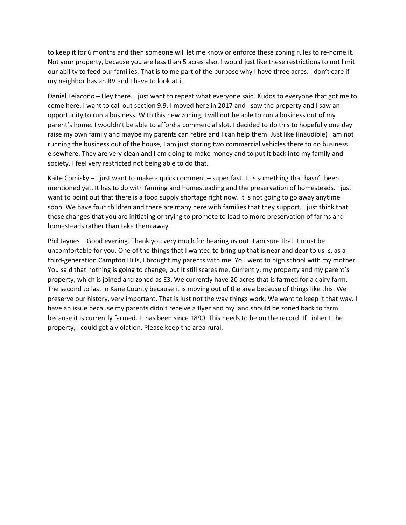to keep it for 6 months and then someone will let me know or enforce these zoning rules to re-home it. Not your property, because you are less than 5 acres also. I would just like these restrictions to not limit our ability to feed our families. That is to me part of the purpose why I have three acres. I don't care if my neighbor has an RV and I have to look at it.

Daniel Leiacono – Hey there. I just want to repeat what everyone said. Kudos to everyone that got me to come here. I want to call out section 9.9. I moved here in 2017 and I saw the property and I saw an opportunity to run a business. With this new zoning, I will not be able to run a business out of my parent's home. I wouldn't be able to afford a commercial slot. I decided to do this to hopefully one day raise my own family and maybe my parents can retire and I can help them. Just like (inaudible) I am not running the business out of the house, I am just storing two commercial vehicles there to do business elsewhere. They are very clean and I am doing to make money and to put it back into my family and society. I feel very restricted not being able to do that.

Kaite Comisky – I just want to make a quick comment – super fast. It is something that hasn't been mentioned yet. It has to do with farming and homesteading and the preservation of homesteads. I just want to point out that there is a food supply shortage right now. It is not going to go away anytime soon. We have four children and there are many here with families that they support. I just think that these changes that you are initiating or trying to promote to lead to more preservation of farms and homesteads rather than take them away.

Phil Jaynes – Good evening. Thank you very much for hearing us out. I am sure that it must be uncomfortable for you. One of the things that I wanted to bring up that is near and dear to us is, as a third-generation Campton Hills, I brought my parents with me. You went to high school with my mother. You said that nothing is going to change, but it still scares me. Currently, my property and my parent's property, which is joined and zoned as E3. We currently have 20 acres that is farmed for a dairy farm. The second to last in Kane County because it is moving out of the area because of things like this. We preserve our history, very important. That is just not the way things work. We want to keep it that way. I have an issue because my parents didn't receive a flyer and my land should be zoned back to farm because it is currently farmed. It has been since 1890. This needs to be on the record. If I inherit the property, I could get a violation. Please keep the area rural.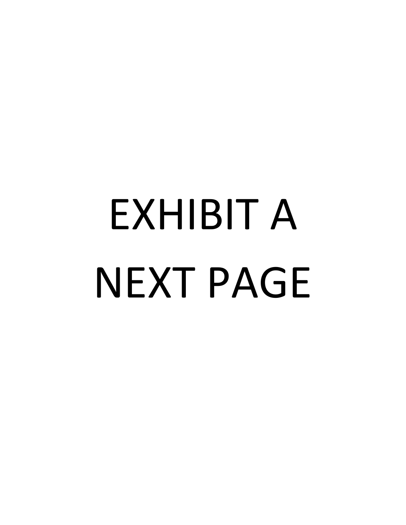# EXHIBIT A NEXT PAGE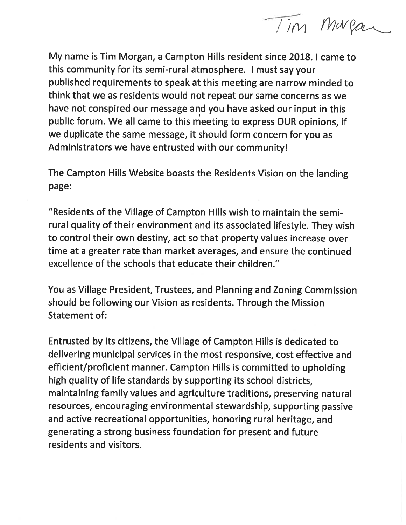Tim Margan

My name is Tim Morgan, a Campton Hills resident since 2018. I came to this community for its semi-rural atmosphere. I must say your published requirements to speak at this meeting are narrow minded to think that we as residents would not repeat our same concerns as we have not conspired our message and you have asked our input in this public forum. We all came to this meeting to express OUR opinions, if we duplicate the same message, it should form concern for you as Administrators we have entrusted with our community!

The Campton Hills Website boasts the Residents Vision on the landing page:

"Residents of the Village of Campton Hills wish to maintain the semirural quality of their environment and its associated lifestyle. They wish to control their own destiny, act so that property values increase over time at a greater rate than market averages, and ensure the continued excellence of the schools that educate their children."

You as Village President, Trustees, and Planning and Zoning Commission should be following our Vision as residents. Through the Mission **Statement of:** 

Entrusted by its citizens, the Village of Campton Hills is dedicated to delivering municipal services in the most responsive, cost effective and efficient/proficient manner. Campton Hills is committed to upholding high quality of life standards by supporting its school districts, maintaining family values and agriculture traditions, preserving natural resources, encouraging environmental stewardship, supporting passive and active recreational opportunities, honoring rural heritage, and generating a strong business foundation for present and future residents and visitors.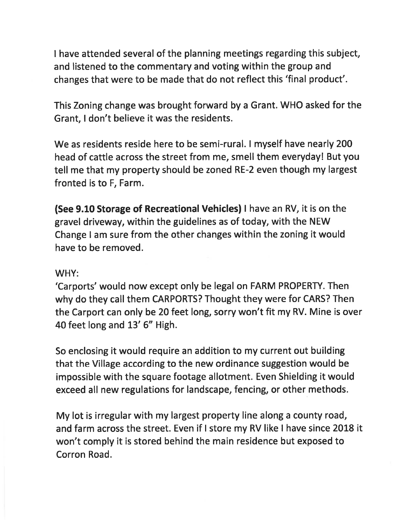I have attended several of the planning meetings regarding this subject, and listened to the commentary and voting within the group and changes that were to be made that do not reflect this 'final product'.

This Zoning change was brought forward by a Grant. WHO asked for the Grant, I don't believe it was the residents.

We as residents reside here to be semi-rural. I myself have nearly 200 head of cattle across the street from me, smell them everyday! But you tell me that my property should be zoned RE-2 even though my largest fronted is to F, Farm.

(See 9.10 Storage of Recreational Vehicles) I have an RV, it is on the gravel driveway, within the guidelines as of today, with the NEW Change I am sure from the other changes within the zoning it would have to be removed.

# WHY:

'Carports' would now except only be legal on FARM PROPERTY. Then why do they call them CARPORTS? Thought they were for CARS? Then the Carport can only be 20 feet long, sorry won't fit my RV. Mine is over 40 feet long and 13' 6" High.

So enclosing it would require an addition to my current out building that the Village according to the new ordinance suggestion would be impossible with the square footage allotment. Even Shielding it would exceed all new regulations for landscape, fencing, or other methods.

My lot is irregular with my largest property line along a county road, and farm across the street. Even if I store my RV like I have since 2018 it won't comply it is stored behind the main residence but exposed to Corron Road.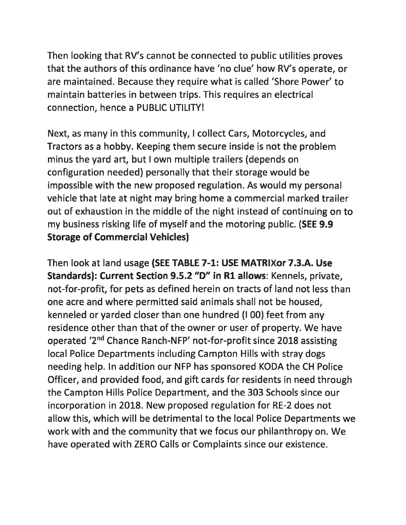Then looking that RV's cannot be connected to public utilities proves that the authors of this ordinance have 'no clue' how RV's operate, or are maintained. Because they require what is called 'Shore Power' to maintain batteries in between trips. This requires an electrical connection, hence a PUBLIC UTILITY!

Next, as many in this community, I collect Cars, Motorcycles, and Tractors as a hobby. Keeping them secure inside is not the problem minus the yard art, but I own multiple trailers (depends on configuration needed) personally that their storage would be impossible with the new proposed regulation. As would my personal vehicle that late at night may bring home a commercial marked trailer out of exhaustion in the middle of the night instead of continuing on to my business risking life of myself and the motoring public. (SEE 9.9 **Storage of Commercial Vehicles)** 

Then look at land usage (SEE TABLE 7-1: USE MATRIXor 7.3.A. Use Standards): Current Section 9.5.2 "D" in R1 allows: Kennels, private, not-for-profit, for pets as defined herein on tracts of land not less than one acre and where permitted said animals shall not be housed, kenneled or yarded closer than one hundred (100) feet from any residence other than that of the owner or user of property. We have operated '2<sup>nd</sup> Chance Ranch-NFP' not-for-profit since 2018 assisting local Police Departments including Campton Hills with stray dogs needing help. In addition our NFP has sponsored KODA the CH Police Officer, and provided food, and gift cards for residents in need through the Campton Hills Police Department, and the 303 Schools since our incorporation in 2018. New proposed regulation for RE-2 does not allow this, which will be detrimental to the local Police Departments we work with and the community that we focus our philanthropy on. We have operated with ZERO Calls or Complaints since our existence.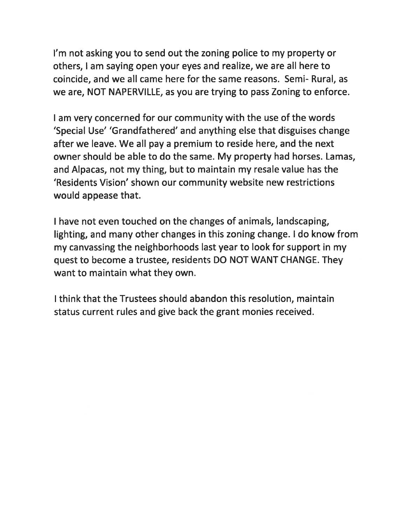I'm not asking you to send out the zoning police to my property or others, I am saying open your eyes and realize, we are all here to coincide, and we all came here for the same reasons. Semi- Rural, as we are, NOT NAPERVILLE, as you are trying to pass Zoning to enforce.

I am very concerned for our community with the use of the words 'Special Use' 'Grandfathered' and anything else that disguises change after we leave. We all pay a premium to reside here, and the next owner should be able to do the same. My property had horses. Lamas, and Alpacas, not my thing, but to maintain my resale value has the 'Residents Vision' shown our community website new restrictions would appease that.

I have not even touched on the changes of animals, landscaping, lighting, and many other changes in this zoning change. I do know from my canvassing the neighborhoods last year to look for support in my quest to become a trustee, residents DO NOT WANT CHANGE. They want to maintain what they own.

I think that the Trustees should abandon this resolution, maintain status current rules and give back the grant monies received.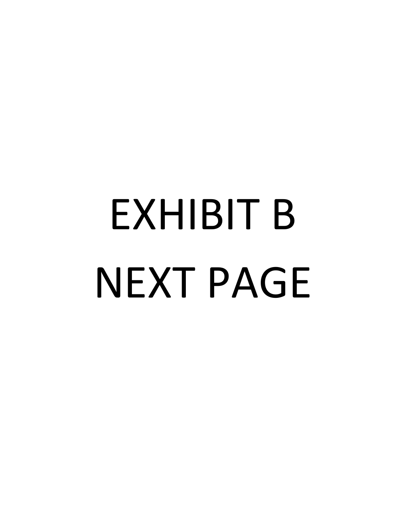# EXHIBIT B NEXT PAGE